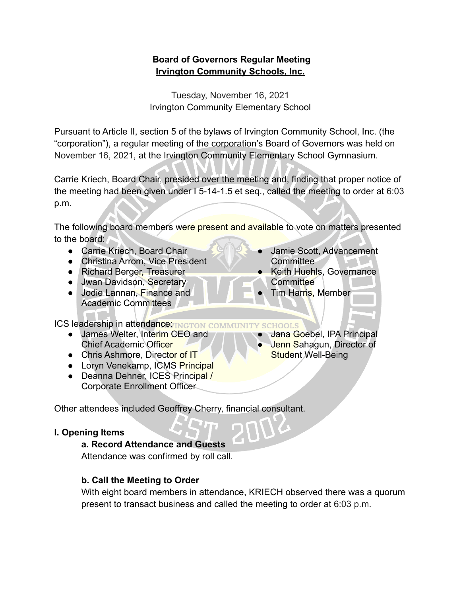### **Board of Governors Regular Meeting Irvington Community Schools, Inc.**

Tuesday, November 16, 2021 Irvington Community Elementary School

Pursuant to Article II, section 5 of the bylaws of Irvington Community School, Inc. (the "corporation"), a regular meeting of the corporation's Board of Governors was held on November 16, 2021, at the Irvington Community Elementary School Gymnasium.

Carrie Kriech, Board Chair, presided over the meeting and, finding that proper notice of the meeting had been given under I 5-14-1.5 et seq., called the meeting to order at 6:03 p.m.

The following board members were present and available to vote on matters presented to the board:

- Carrie Kriech, Board Chair
- Christina Arrom, Vice President
- Richard Berger, Treasurer
- Jwan Davidson, Secretary
- Jodie Lannan, Finance and Academic Committees

**ICS leadership in attendance TINGTON COMMUNIT** 

- James Welter, Interim CEO and Chief Academic Officer
- Chris Ashmore, Director of IT
- Loryn Venekamp, ICMS Principal
- Deanna Dehner, ICES Principal / Corporate Enrollment Officer

Other attendees included Geoffrey Cherry, financial consultant.

### **I. Opening Items**

#### **a. Record Attendance and Guests**

Attendance was confirmed by roll call.

### **b. Call the Meeting to Order**

With eight board members in attendance, KRIECH observed there was a quorum present to transact business and called the meeting to order at 6:03 p.m.

- Jamie Scott, Advancement **Committee**
- **Keith Huehls, Governance Committee**

Jana Goebel, IPA Principal Jenn Sahagun, Director of

**Tim Harris, Member** 

Student Well-Being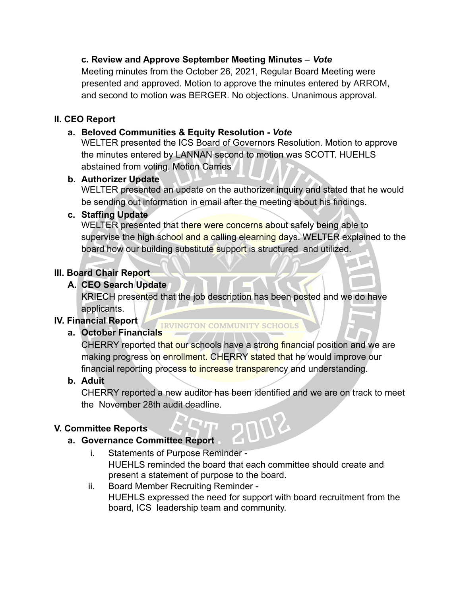### **c. Review and Approve September Meeting Minutes –** *Vote*

Meeting minutes from the October 26, 2021, Regular Board Meeting were presented and approved. Motion to approve the minutes entered by ARROM, and second to motion was BERGER. No objections. Unanimous approval.

### **II. CEO Report**

### **a. Beloved Communities & Equity Resolution -** *Vote*

WELTER presented the ICS Board of Governors Resolution. Motion to approve the minutes entered by LANNAN second to motion was SCOTT. HUEHLS abstained from voting. Motion Carries

### **b. Authorizer Update**

WELTER presented an update on the authorizer inquiry and stated that he would be sending out information in email after the meeting about his findings.

### **c. Staffing Update**

WELTER presented that there were concerns about safely being able to supervise the high school and a calling elearning days. WELTER explained to the board how our building substitute support is structured and utilized.

# **III. Board Chair Report**

# **A. CEO Search Update**

KRIECH presented that the job description has been posted and we do have applicants.

**IRVINGTON COMMUNITY SCHOOLS** 

# **IV. Financial Report**

# **a. October Financials**

CHERRY reported that our schools have a strong financial position and we are making progress on enrollment. CHERRY stated that he would improve our financial reporting process to increase transparency and understanding.

# **b. Aduit**

CHERRY reported a new auditor has been identified and we are on track to meet the November 28th audit deadline.

702

### **V. Committee Reports**

### **a. Governance Committee Report**

- i. Statements of Purpose Reminder HUEHLS reminded the board that each committee should create and present a statement of purpose to the board.
- ii. Board Member Recruiting Reminder HUEHLS expressed the need for support with board recruitment from the board, ICS leadership team and community.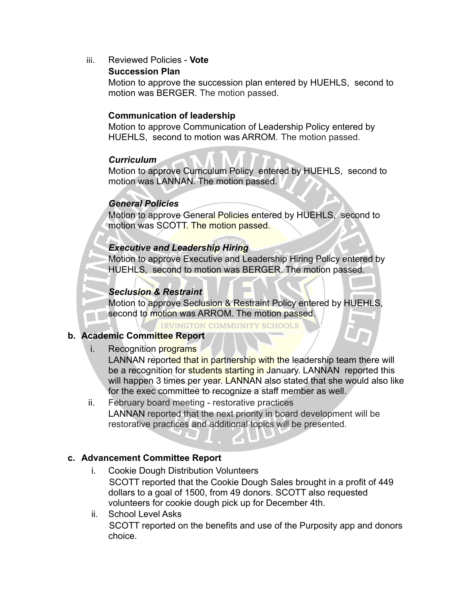iii. Reviewed Policies - **Vote**

### **Succession Plan**

Motion to approve the succession plan entered by HUEHLS, second to motion was BERGER. The motion passed.

### **Communication of leadership**

Motion to approve Communication of Leadership Policy entered by HUEHLS, second to motion was ARROM. The motion passed.

### *Curriculum*

Motion to approve Curriculum Policy entered by HUEHLS, second to motion was LANNAN. The motion passed.

### *General Policies*

Motion to approve General Policies entered by HUEHLS, second to motion was SCOTT. The motion passed.

### *Executive and Leadership Hiring*

Motion to approve Executive and Leadership Hiring Policy entered by HUEHLS, second to motion was BERGER. The motion passed.

### *Seclusion & Restraint*

Motion to approve Seclusion & Restraint Policy entered by HUEHLS, second to motion was ARROM. The motion passed.

**IRVINGTON COMMUNITY SCHOOLS** 

### **b. Academic Committee Report**

i. Recognition programs

LANNAN reported that in partnership with the leadership team there will be a recognition for students starting in January. LANNAN reported this will happen 3 times per year. LANNAN also stated that she would also like for the exec committee to recognize a staff member as well.

ii. February board meeting - restorative practices LANNAN reported that the next priority in board development will be restorative practices and additional topics will be presented.

### **c. Advancement Committee Report**

- i. Cookie Dough Distribution Volunteers SCOTT reported that the Cookie Dough Sales brought in a profit of 449 dollars to a goal of 1500, from 49 donors. SCOTT also requested volunteers for cookie dough pick up for December 4th.
- ii. School Level Asks SCOTT reported on the benefits and use of the Purposity app and donors choice.